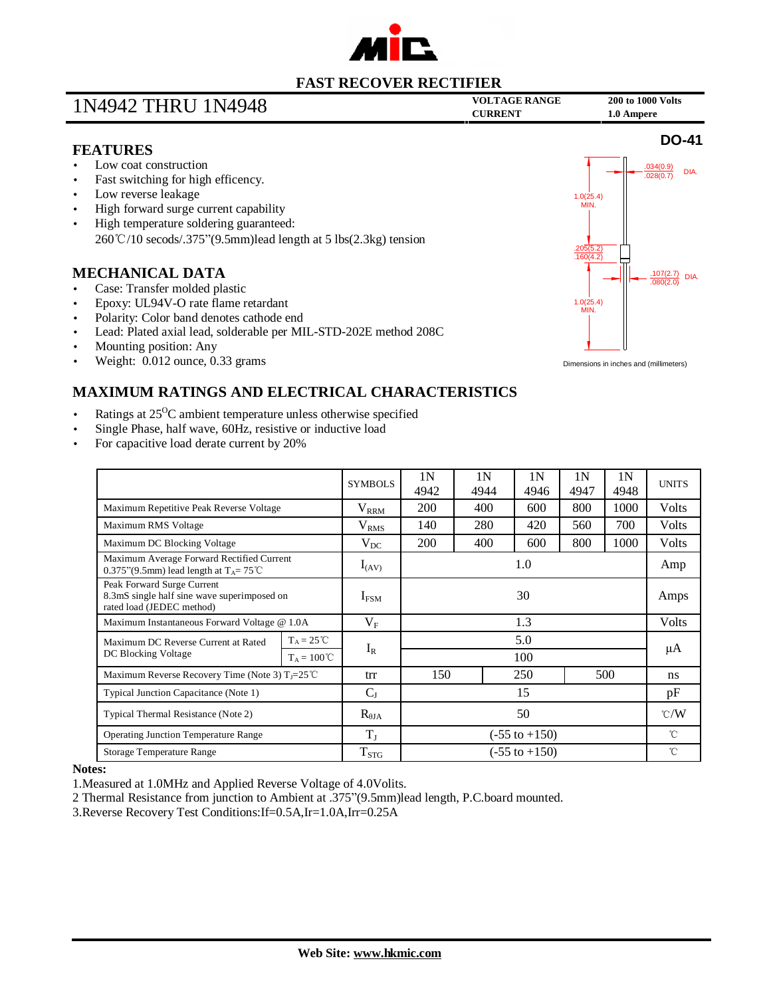

# **VOLTAGE RANGE <sup>200</sup> to <sup>1000</sup> Volts** 1N4942 THRU 1N4948 **CURRENT 1.0 Ampere**

**DO-41**

### **FEATURES**

- Low coat construction
- Fast switching for high efficency.
- Low reverse leakage
- High forward surge current capability
- High temperature soldering guaranteed: 260℃/10 secods/.375"(9.5mm)lead length at 5 lbs(2.3kg) tension

### **MECHANICAL DATA**

- Case: Transfer molded plastic
- Epoxy: UL94V-O rate flame retardant
- Polarity: Color band denotes cathode end
- Lead: Plated axial lead, solderable per MIL-STD-202E method 208C
- Mounting position: Any
- Weight: 0.012 ounce, 0.33 grams



Dimensions in inches and (millimeters)

## **MAXIMUM RATINGS AND ELECTRICAL CHARACTERISTICS**

- Ratings at  $25^{\circ}$ C ambient temperature unless otherwise specified
- Single Phase, half wave, 60Hz, resistive or inductive load
- For capacitive load derate current by 20%

|                                                                                                        |                      | <b>SYMBOLS</b>   | 1 <sup>N</sup><br>4942   | 1N<br>4944 | 1 N<br>4946 | 1 <sup>N</sup><br>4947 | 1N<br>4948 | <b>UNITS</b>  |
|--------------------------------------------------------------------------------------------------------|----------------------|------------------|--------------------------|------------|-------------|------------------------|------------|---------------|
| Maximum Repetitive Peak Reverse Voltage                                                                |                      | $\rm V_{RRM}$    | 200                      | 400        | 600         | 800                    | 1000       | Volts         |
| Maximum RMS Voltage                                                                                    |                      | V <sub>RMS</sub> | 140                      | 280        | 420         | 560                    | 700        | Volts         |
| Maximum DC Blocking Voltage                                                                            |                      | $V_{DC}$         | 200                      | 400        | 600         | 800                    | 1000       | Volts         |
| Maximum Average Forward Rectified Current<br>0.375"(9.5mm) lead length at $T_A = 75^{\circ}$ C         |                      | $I_{(AV)}$       | 1.0                      |            |             |                        |            | Amp           |
| Peak Forward Surge Current<br>8.3mS single half sine wave superimposed on<br>rated load (JEDEC method) |                      | $I_{FSM}$        | 30                       |            |             |                        |            | Amps          |
| Maximum Instantaneous Forward Voltage @ 1.0A                                                           |                      | $V_{\rm F}$      | 1.3                      |            |             |                        |            | Volts         |
| Maximum DC Reverse Current at Rated<br>DC Blocking Voltage                                             | $T_A = 25^{\circ}C$  | $I_R$            | 5.0                      |            |             |                        |            | μA            |
|                                                                                                        | $T_A = 100^{\circ}C$ |                  | 100                      |            |             |                        |            |               |
| Maximum Reverse Recovery Time (Note 3) $T_1 = 25^{\circ}$ C                                            |                      | trr              | 150                      |            | 250         |                        | 500        | ns.           |
| Typical Junction Capacitance (Note 1)                                                                  |                      | $C_{J}$          | 15                       |            |             |                        |            | pF            |
| Typical Thermal Resistance (Note 2)                                                                    |                      | $R_{\theta JA}$  | 50                       |            |             |                        |            | $\degree$ C/W |
| <b>Operating Junction Temperature Range</b>                                                            |                      | $T_{J}$          | $(-55 \text{ to } +150)$ |            |             |                        |            | $^{\circ}$ C  |
| <b>Storage Temperature Range</b>                                                                       |                      | $T_{STG}$        | $(-55 \text{ to } +150)$ |            |             |                        |            | °C            |

#### **Notes:**

1.Measured at 1.0MHz and Applied Reverse Voltage of 4.0Volits.

2 Thermal Resistance from junction to Ambient at .375"(9.5mm)lead length, P.C.board mounted.

3.Reverse Recovery Test Conditions:If=0.5A,Ir=1.0A,Irr=0.25A